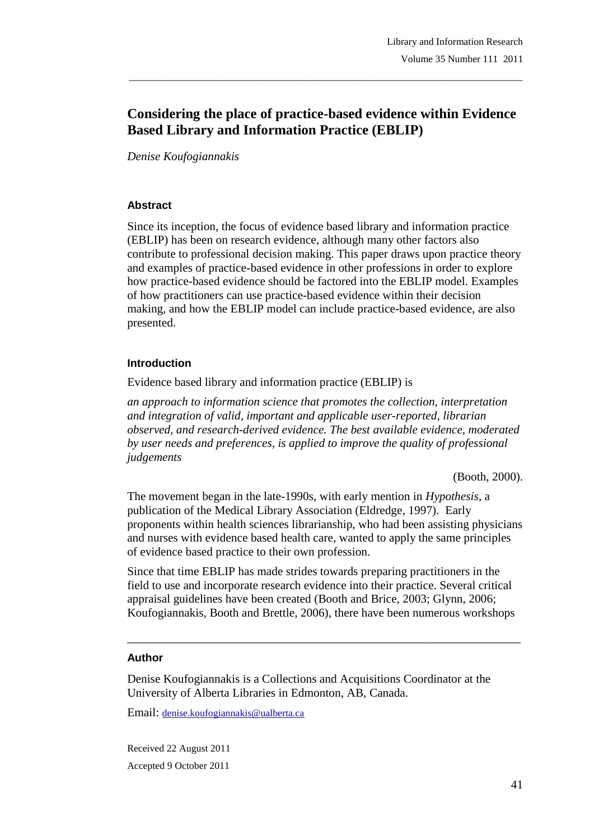# **Considering the place of practice-based evidence within Evidence Based Library and Information Practice (EBLIP)**

\_\_\_\_\_\_\_\_\_\_\_\_\_\_\_\_\_\_\_\_\_\_\_\_\_\_\_\_\_\_\_\_\_\_\_\_\_\_\_\_\_\_\_\_\_\_\_\_\_\_\_\_\_\_\_\_\_\_\_\_\_\_\_\_\_\_\_\_\_\_\_\_\_\_\_\_\_\_\_

*Denise Koufogiannakis*

#### **Abstract**

Since its inception, the focus of evidence based library and information practice (EBLIP) has been on research evidence, although many other factors also contribute to professional decision making. This paper draws upon practice theory and examples of practice-based evidence in other professions in order to explore how practice-based evidence should be factored into the EBLIP model. Examples of how practitioners can use practice-based evidence within their decision making, and how the EBLIP model can include practice-based evidence, are also presented.

#### **Introduction**

Evidence based library and information practice (EBLIP) is

*an approach to information science that promotes the collection, interpretation and integration of valid, important and applicable user-reported, librarian observed, and research-derived evidence. The best available evidence, moderated by user needs and preferences, is applied to improve the quality of professional judgements*

(Booth, 2000).

The movement began in the late-1990s, with early mention in *Hypothesis*, a publication of the Medical Library Association (Eldredge, 1997). Early proponents within health sciences librarianship, who had been assisting physicians and nurses with evidence based health care, wanted to apply the same principles of evidence based practice to their own profession.

Since that time EBLIP has made strides towards preparing practitioners in the field to use and incorporate research evidence into their practice. Several critical appraisal guidelines have been created (Booth and Brice, 2003; Glynn, 2006; Koufogiannakis, Booth and Brettle, 2006), there have been numerous workshops

\_\_\_\_\_\_\_\_\_\_\_\_\_\_\_\_\_\_\_\_\_\_\_\_\_\_\_\_\_\_\_\_\_\_\_\_\_\_\_\_\_\_\_\_\_\_\_\_\_\_\_\_\_\_\_\_\_\_\_\_\_\_\_\_\_\_\_\_\_\_\_

#### **Author**

Denise Koufogiannakis is a Collections and Acquisitions Coordinator at the University of Alberta Libraries in Edmonton, AB, Canada.

Email: denise.koufogiannakis@ualberta.ca

Received 22 August 2011 Accepted 9 October 2011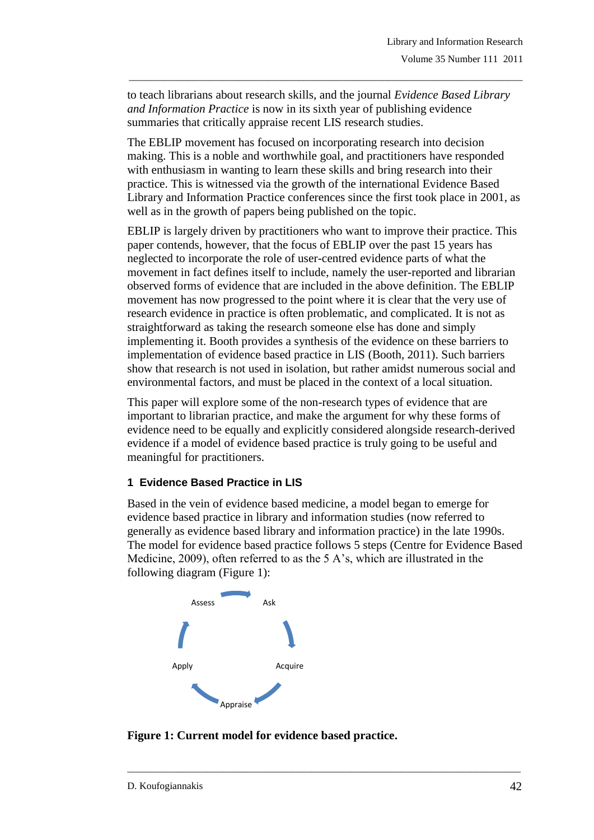to teach librarians about research skills, and the journal *Evidence Based Library and Information Practice* is now in its sixth year of publishing evidence summaries that critically appraise recent LIS research studies.

\_\_\_\_\_\_\_\_\_\_\_\_\_\_\_\_\_\_\_\_\_\_\_\_\_\_\_\_\_\_\_\_\_\_\_\_\_\_\_\_\_\_\_\_\_\_\_\_\_\_\_\_\_\_\_\_\_\_\_\_\_\_\_\_\_\_\_\_\_\_\_\_\_\_\_\_\_\_\_

The EBLIP movement has focused on incorporating research into decision making. This is a noble and worthwhile goal, and practitioners have responded with enthusiasm in wanting to learn these skills and bring research into their practice. This is witnessed via the growth of the international Evidence Based Library and Information Practice conferences since the first took place in 2001, as well as in the growth of papers being published on the topic.

EBLIP is largely driven by practitioners who want to improve their practice. This paper contends, however, that the focus of EBLIP over the past 15 years has neglected to incorporate the role of user-centred evidence parts of what the movement in fact defines itself to include, namely the user-reported and librarian observed forms of evidence that are included in the above definition. The EBLIP movement has now progressed to the point where it is clear that the very use of research evidence in practice is often problematic, and complicated. It is not as straightforward as taking the research someone else has done and simply implementing it. Booth provides a synthesis of the evidence on these barriers to implementation of evidence based practice in LIS (Booth, 2011). Such barriers show that research is not used in isolation, but rather amidst numerous social and environmental factors, and must be placed in the context of a local situation.

This paper will explore some of the non-research types of evidence that are important to librarian practice, and make the argument for why these forms of evidence need to be equally and explicitly considered alongside research-derived evidence if a model of evidence based practice is truly going to be useful and meaningful for practitioners.

## **1 Evidence Based Practice in LIS**

Based in the vein of evidence based medicine, a model began to emerge for evidence based practice in library and information studies (now referred to generally as evidence based library and information practice) in the late 1990s. The model for evidence based practice follows 5 steps (Centre for Evidence Based Medicine, 2009), often referred to as the 5 A"s, which are illustrated in the following diagram (Figure 1):



**Figure 1: Current model for evidence based practice.**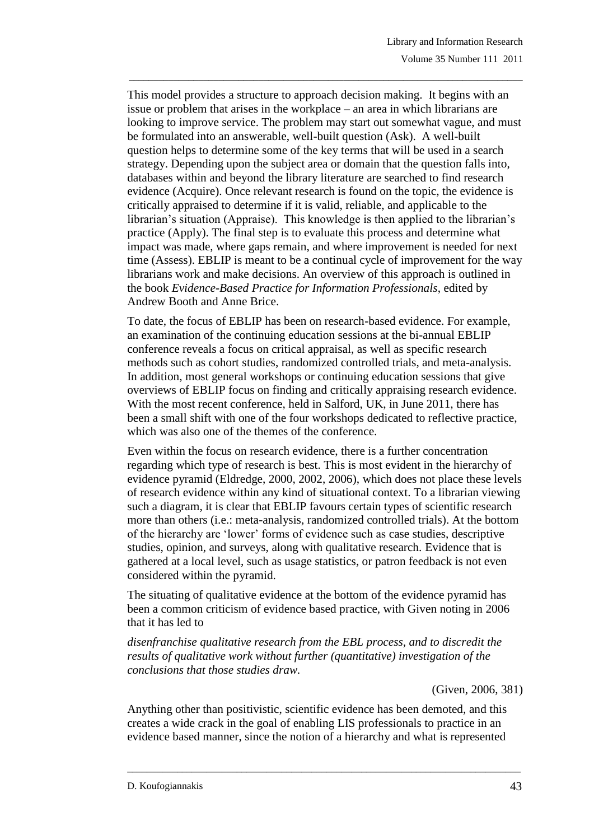This model provides a structure to approach decision making. It begins with an issue or problem that arises in the workplace – an area in which librarians are looking to improve service. The problem may start out somewhat vague, and must be formulated into an answerable, well-built question (Ask). A well-built question helps to determine some of the key terms that will be used in a search strategy. Depending upon the subject area or domain that the question falls into, databases within and beyond the library literature are searched to find research evidence (Acquire). Once relevant research is found on the topic, the evidence is critically appraised to determine if it is valid, reliable, and applicable to the librarian's situation (Appraise). This knowledge is then applied to the librarian's practice (Apply). The final step is to evaluate this process and determine what impact was made, where gaps remain, and where improvement is needed for next time (Assess). EBLIP is meant to be a continual cycle of improvement for the way librarians work and make decisions. An overview of this approach is outlined in the book *Evidence-Based Practice for Information Professionals*, edited by Andrew Booth and Anne Brice.

\_\_\_\_\_\_\_\_\_\_\_\_\_\_\_\_\_\_\_\_\_\_\_\_\_\_\_\_\_\_\_\_\_\_\_\_\_\_\_\_\_\_\_\_\_\_\_\_\_\_\_\_\_\_\_\_\_\_\_\_\_\_\_\_\_\_\_\_\_\_\_\_\_\_\_\_\_\_\_

To date, the focus of EBLIP has been on research-based evidence. For example, an examination of the continuing education sessions at the bi-annual EBLIP conference reveals a focus on critical appraisal, as well as specific research methods such as cohort studies, randomized controlled trials, and meta-analysis. In addition, most general workshops or continuing education sessions that give overviews of EBLIP focus on finding and critically appraising research evidence. With the most recent conference, held in Salford, UK, in June 2011, there has been a small shift with one of the four workshops dedicated to reflective practice, which was also one of the themes of the conference.

Even within the focus on research evidence, there is a further concentration regarding which type of research is best. This is most evident in the hierarchy of evidence pyramid (Eldredge, 2000, 2002, 2006), which does not place these levels of research evidence within any kind of situational context. To a librarian viewing such a diagram, it is clear that EBLIP favours certain types of scientific research more than others (i.e.: meta-analysis, randomized controlled trials). At the bottom of the hierarchy are "lower" forms of evidence such as case studies, descriptive studies, opinion, and surveys, along with qualitative research. Evidence that is gathered at a local level, such as usage statistics, or patron feedback is not even considered within the pyramid.

The situating of qualitative evidence at the bottom of the evidence pyramid has been a common criticism of evidence based practice, with Given noting in 2006 that it has led to

*disenfranchise qualitative research from the EBL process, and to discredit the results of qualitative work without further (quantitative) investigation of the conclusions that those studies draw.*

(Given, 2006, 381)

Anything other than positivistic, scientific evidence has been demoted, and this creates a wide crack in the goal of enabling LIS professionals to practice in an evidence based manner, since the notion of a hierarchy and what is represented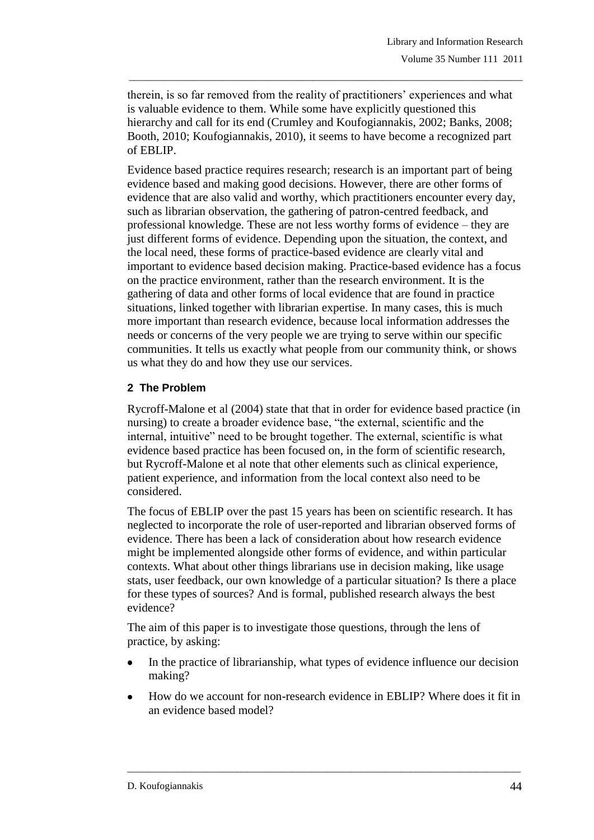therein, is so far removed from the reality of practitioners" experiences and what is valuable evidence to them. While some have explicitly questioned this hierarchy and call for its end (Crumley and Koufogiannakis, 2002; Banks, 2008; Booth, 2010; Koufogiannakis, 2010), it seems to have become a recognized part of EBLIP.

\_\_\_\_\_\_\_\_\_\_\_\_\_\_\_\_\_\_\_\_\_\_\_\_\_\_\_\_\_\_\_\_\_\_\_\_\_\_\_\_\_\_\_\_\_\_\_\_\_\_\_\_\_\_\_\_\_\_\_\_\_\_\_\_\_\_\_\_\_\_\_\_\_\_\_\_\_\_\_

Evidence based practice requires research; research is an important part of being evidence based and making good decisions. However, there are other forms of evidence that are also valid and worthy, which practitioners encounter every day, such as librarian observation, the gathering of patron-centred feedback, and professional knowledge. These are not less worthy forms of evidence – they are just different forms of evidence. Depending upon the situation, the context, and the local need, these forms of practice-based evidence are clearly vital and important to evidence based decision making. Practice-based evidence has a focus on the practice environment, rather than the research environment. It is the gathering of data and other forms of local evidence that are found in practice situations, linked together with librarian expertise. In many cases, this is much more important than research evidence, because local information addresses the needs or concerns of the very people we are trying to serve within our specific communities. It tells us exactly what people from our community think, or shows us what they do and how they use our services.

## **2 The Problem**

Rycroff-Malone et al (2004) state that that in order for evidence based practice (in nursing) to create a broader evidence base, "the external, scientific and the internal, intuitive" need to be brought together. The external, scientific is what evidence based practice has been focused on, in the form of scientific research, but Rycroff-Malone et al note that other elements such as clinical experience, patient experience, and information from the local context also need to be considered.

The focus of EBLIP over the past 15 years has been on scientific research. It has neglected to incorporate the role of user-reported and librarian observed forms of evidence. There has been a lack of consideration about how research evidence might be implemented alongside other forms of evidence, and within particular contexts. What about other things librarians use in decision making, like usage stats, user feedback, our own knowledge of a particular situation? Is there a place for these types of sources? And is formal, published research always the best evidence?

The aim of this paper is to investigate those questions, through the lens of practice, by asking:

- In the practice of librarianship, what types of evidence influence our decision making?
- How do we account for non-research evidence in EBLIP? Where does it fit in an evidence based model?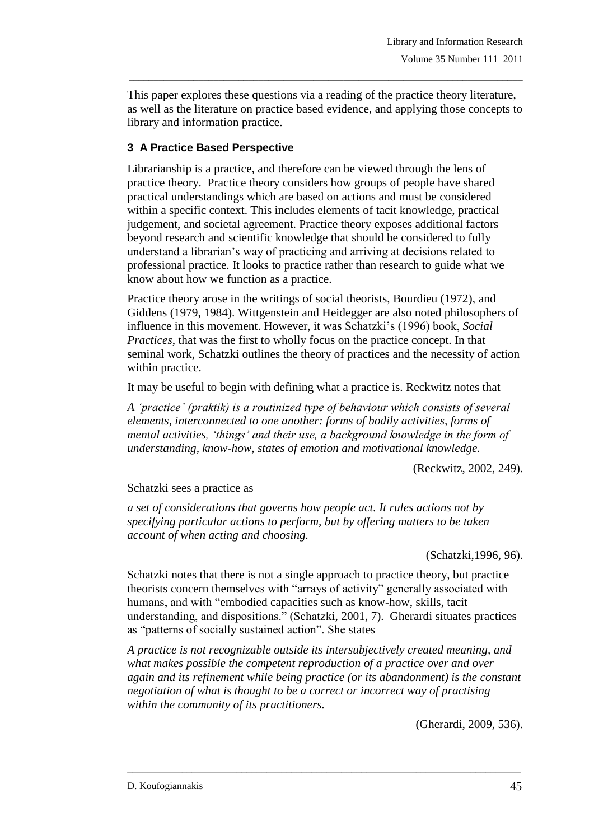This paper explores these questions via a reading of the practice theory literature, as well as the literature on practice based evidence, and applying those concepts to library and information practice.

\_\_\_\_\_\_\_\_\_\_\_\_\_\_\_\_\_\_\_\_\_\_\_\_\_\_\_\_\_\_\_\_\_\_\_\_\_\_\_\_\_\_\_\_\_\_\_\_\_\_\_\_\_\_\_\_\_\_\_\_\_\_\_\_\_\_\_\_\_\_\_\_\_\_\_\_\_\_\_

## **3 A Practice Based Perspective**

Librarianship is a practice, and therefore can be viewed through the lens of practice theory. Practice theory considers how groups of people have shared practical understandings which are based on actions and must be considered within a specific context. This includes elements of tacit knowledge, practical judgement, and societal agreement. Practice theory exposes additional factors beyond research and scientific knowledge that should be considered to fully understand a librarian"s way of practicing and arriving at decisions related to professional practice. It looks to practice rather than research to guide what we know about how we function as a practice.

Practice theory arose in the writings of social theorists, Bourdieu (1972), and Giddens (1979, 1984). Wittgenstein and Heidegger are also noted philosophers of influence in this movement. However, it was Schatzki"s (1996) book, *Social Practices*, that was the first to wholly focus on the practice concept. In that seminal work, Schatzki outlines the theory of practices and the necessity of action within practice.

It may be useful to begin with defining what a practice is. Reckwitz notes that

*A 'practice' (praktik) is a routinized type of behaviour which consists of several elements, interconnected to one another: forms of bodily activities, forms of mental activities, 'things' and their use, a background knowledge in the form of understanding, know-how, states of emotion and motivational knowledge.*

(Reckwitz, 2002, 249).

Schatzki sees a practice as

*a set of considerations that governs how people act. It rules actions not by specifying particular actions to perform, but by offering matters to be taken account of when acting and choosing.*

(Schatzki,1996, 96).

Schatzki notes that there is not a single approach to practice theory, but practice theorists concern themselves with "arrays of activity" generally associated with humans, and with "embodied capacities such as know-how, skills, tacit understanding, and dispositions." (Schatzki, 2001, 7). Gherardi situates practices as "patterns of socially sustained action". She states

*A practice is not recognizable outside its intersubjectively created meaning, and what makes possible the competent reproduction of a practice over and over again and its refinement while being practice (or its abandonment) is the constant negotiation of what is thought to be a correct or incorrect way of practising within the community of its practitioners.*

\_\_\_\_\_\_\_\_\_\_\_\_\_\_\_\_\_\_\_\_\_\_\_\_\_\_\_\_\_\_\_\_\_\_\_\_\_\_\_\_\_\_\_\_\_\_\_\_\_\_\_\_\_\_\_\_\_\_\_\_\_\_\_\_\_\_\_\_\_\_\_\_\_\_\_\_\_\_\_

(Gherardi, 2009, 536).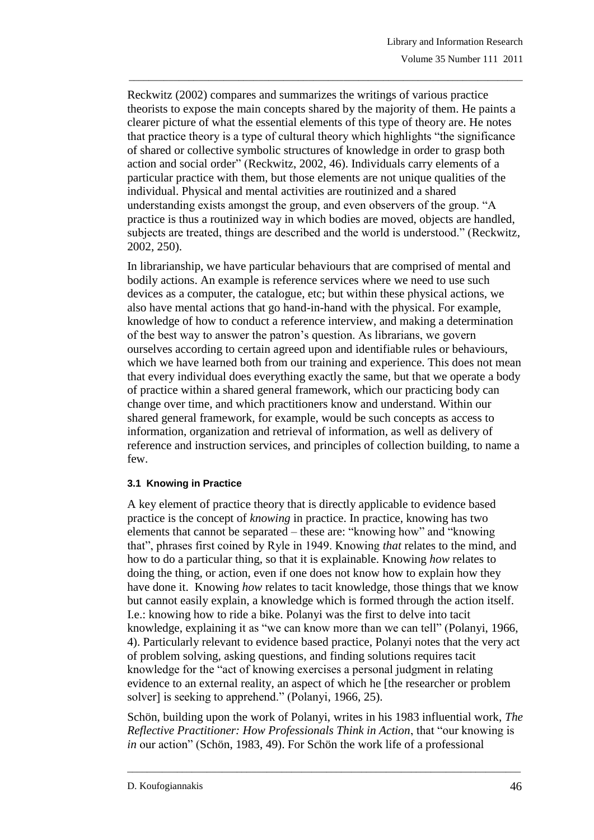Reckwitz (2002) compares and summarizes the writings of various practice theorists to expose the main concepts shared by the majority of them. He paints a clearer picture of what the essential elements of this type of theory are. He notes that practice theory is a type of cultural theory which highlights "the significance of shared or collective symbolic structures of knowledge in order to grasp both action and social order" (Reckwitz, 2002, 46). Individuals carry elements of a particular practice with them, but those elements are not unique qualities of the individual. Physical and mental activities are routinized and a shared understanding exists amongst the group, and even observers of the group. "A practice is thus a routinized way in which bodies are moved, objects are handled, subjects are treated, things are described and the world is understood." (Reckwitz, 2002, 250).

\_\_\_\_\_\_\_\_\_\_\_\_\_\_\_\_\_\_\_\_\_\_\_\_\_\_\_\_\_\_\_\_\_\_\_\_\_\_\_\_\_\_\_\_\_\_\_\_\_\_\_\_\_\_\_\_\_\_\_\_\_\_\_\_\_\_\_\_\_\_\_\_\_\_\_\_\_\_\_

In librarianship, we have particular behaviours that are comprised of mental and bodily actions. An example is reference services where we need to use such devices as a computer, the catalogue, etc; but within these physical actions, we also have mental actions that go hand-in-hand with the physical. For example, knowledge of how to conduct a reference interview, and making a determination of the best way to answer the patron"s question. As librarians, we govern ourselves according to certain agreed upon and identifiable rules or behaviours, which we have learned both from our training and experience. This does not mean that every individual does everything exactly the same, but that we operate a body of practice within a shared general framework, which our practicing body can change over time, and which practitioners know and understand. Within our shared general framework, for example, would be such concepts as access to information, organization and retrieval of information, as well as delivery of reference and instruction services, and principles of collection building, to name a few.

### **3.1 Knowing in Practice**

A key element of practice theory that is directly applicable to evidence based practice is the concept of *knowing* in practice. In practice, knowing has two elements that cannot be separated – these are: "knowing how" and "knowing that", phrases first coined by Ryle in 1949. Knowing *that* relates to the mind, and how to do a particular thing, so that it is explainable. Knowing *how* relates to doing the thing, or action, even if one does not know how to explain how they have done it. Knowing *how* relates to tacit knowledge, those things that we know but cannot easily explain, a knowledge which is formed through the action itself. I.e.: knowing how to ride a bike. Polanyi was the first to delve into tacit knowledge, explaining it as "we can know more than we can tell" (Polanyi, 1966, 4). Particularly relevant to evidence based practice, Polanyi notes that the very act of problem solving, asking questions, and finding solutions requires tacit knowledge for the "act of knowing exercises a personal judgment in relating evidence to an external reality, an aspect of which he [the researcher or problem solver] is seeking to apprehend." (Polanyi, 1966, 25).

Schön, building upon the work of Polanyi, writes in his 1983 influential work, *The Reflective Practitioner: How Professionals Think in Action*, that "our knowing is *in* our action" (Schön, 1983, 49). For Schön the work life of a professional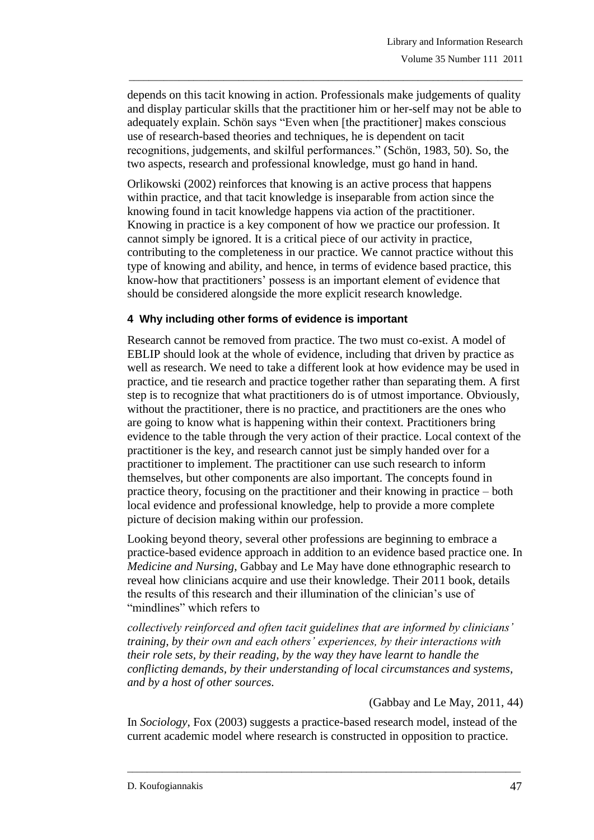depends on this tacit knowing in action. Professionals make judgements of quality and display particular skills that the practitioner him or her-self may not be able to adequately explain. Schön says "Even when [the practitioner] makes conscious use of research-based theories and techniques, he is dependent on tacit recognitions, judgements, and skilful performances." (Schön, 1983, 50). So, the two aspects, research and professional knowledge, must go hand in hand.

\_\_\_\_\_\_\_\_\_\_\_\_\_\_\_\_\_\_\_\_\_\_\_\_\_\_\_\_\_\_\_\_\_\_\_\_\_\_\_\_\_\_\_\_\_\_\_\_\_\_\_\_\_\_\_\_\_\_\_\_\_\_\_\_\_\_\_\_\_\_\_\_\_\_\_\_\_\_\_

Orlikowski (2002) reinforces that knowing is an active process that happens within practice, and that tacit knowledge is inseparable from action since the knowing found in tacit knowledge happens via action of the practitioner. Knowing in practice is a key component of how we practice our profession. It cannot simply be ignored. It is a critical piece of our activity in practice, contributing to the completeness in our practice. We cannot practice without this type of knowing and ability, and hence, in terms of evidence based practice, this know-how that practitioners" possess is an important element of evidence that should be considered alongside the more explicit research knowledge.

### **4 Why including other forms of evidence is important**

Research cannot be removed from practice. The two must co-exist. A model of EBLIP should look at the whole of evidence, including that driven by practice as well as research. We need to take a different look at how evidence may be used in practice, and tie research and practice together rather than separating them. A first step is to recognize that what practitioners do is of utmost importance. Obviously, without the practitioner, there is no practice, and practitioners are the ones who are going to know what is happening within their context. Practitioners bring evidence to the table through the very action of their practice. Local context of the practitioner is the key, and research cannot just be simply handed over for a practitioner to implement. The practitioner can use such research to inform themselves, but other components are also important. The concepts found in practice theory, focusing on the practitioner and their knowing in practice – both local evidence and professional knowledge, help to provide a more complete picture of decision making within our profession.

Looking beyond theory, several other professions are beginning to embrace a practice-based evidence approach in addition to an evidence based practice one. In *Medicine and Nursing*, Gabbay and Le May have done ethnographic research to reveal how clinicians acquire and use their knowledge. Their 2011 book, details the results of this research and their illumination of the clinician"s use of "mindlines" which refers to

*collectively reinforced and often tacit guidelines that are informed by clinicians' training, by their own and each others' experiences, by their interactions with their role sets, by their reading, by the way they have learnt to handle the conflicting demands, by their understanding of local circumstances and systems, and by a host of other sources.*

(Gabbay and Le May, 2011, 44)

In *Sociology*, Fox (2003) suggests a practice-based research model, instead of the current academic model where research is constructed in opposition to practice.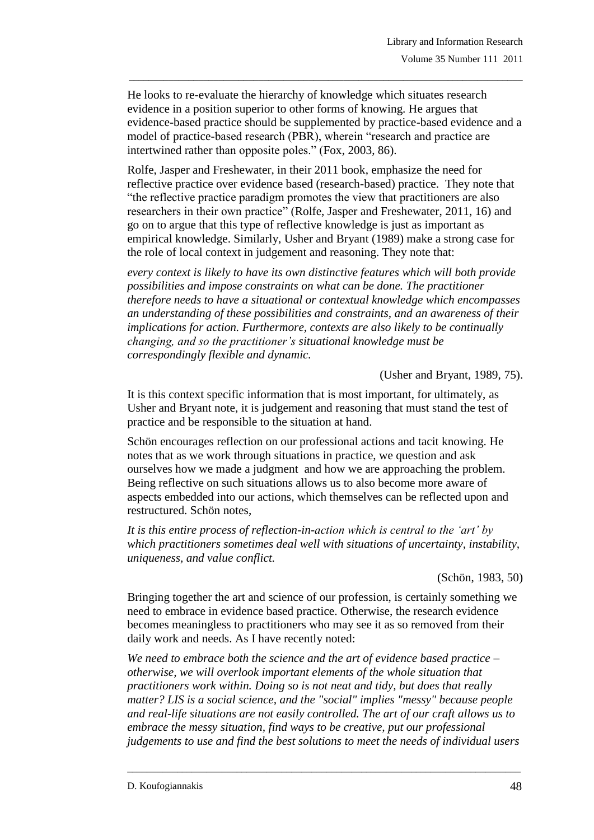He looks to re-evaluate the hierarchy of knowledge which situates research evidence in a position superior to other forms of knowing. He argues that evidence-based practice should be supplemented by practice-based evidence and a model of practice-based research (PBR), wherein "research and practice are intertwined rather than opposite poles." (Fox, 2003, 86).

\_\_\_\_\_\_\_\_\_\_\_\_\_\_\_\_\_\_\_\_\_\_\_\_\_\_\_\_\_\_\_\_\_\_\_\_\_\_\_\_\_\_\_\_\_\_\_\_\_\_\_\_\_\_\_\_\_\_\_\_\_\_\_\_\_\_\_\_\_\_\_\_\_\_\_\_\_\_\_

Rolfe, Jasper and Freshewater, in their 2011 book, emphasize the need for reflective practice over evidence based (research-based) practice. They note that "the reflective practice paradigm promotes the view that practitioners are also researchers in their own practice" (Rolfe, Jasper and Freshewater, 2011, 16) and go on to argue that this type of reflective knowledge is just as important as empirical knowledge. Similarly, Usher and Bryant (1989) make a strong case for the role of local context in judgement and reasoning. They note that:

*every context is likely to have its own distinctive features which will both provide possibilities and impose constraints on what can be done. The practitioner therefore needs to have a situational or contextual knowledge which encompasses an understanding of these possibilities and constraints, and an awareness of their implications for action. Furthermore, contexts are also likely to be continually changing, and so the practitioner's situational knowledge must be correspondingly flexible and dynamic.* 

(Usher and Bryant, 1989, 75).

It is this context specific information that is most important, for ultimately, as Usher and Bryant note, it is judgement and reasoning that must stand the test of practice and be responsible to the situation at hand.

Schön encourages reflection on our professional actions and tacit knowing. He notes that as we work through situations in practice, we question and ask ourselves how we made a judgment and how we are approaching the problem. Being reflective on such situations allows us to also become more aware of aspects embedded into our actions, which themselves can be reflected upon and restructured. Schön notes,

*It is this entire process of reflection-in-action which is central to the 'art' by which practitioners sometimes deal well with situations of uncertainty, instability, uniqueness, and value conflict.*

(Schön, 1983, 50)

Bringing together the art and science of our profession, is certainly something we need to embrace in evidence based practice. Otherwise, the research evidence becomes meaningless to practitioners who may see it as so removed from their daily work and needs. As I have recently noted:

*We need to embrace both the science and the art of evidence based practice – otherwise, we will overlook important elements of the whole situation that practitioners work within. Doing so is not neat and tidy, but does that really matter? LIS is a social science, and the "social" implies "messy" because people and real-life situations are not easily controlled. The art of our craft allows us to embrace the messy situation, find ways to be creative, put our professional judgements to use and find the best solutions to meet the needs of individual users*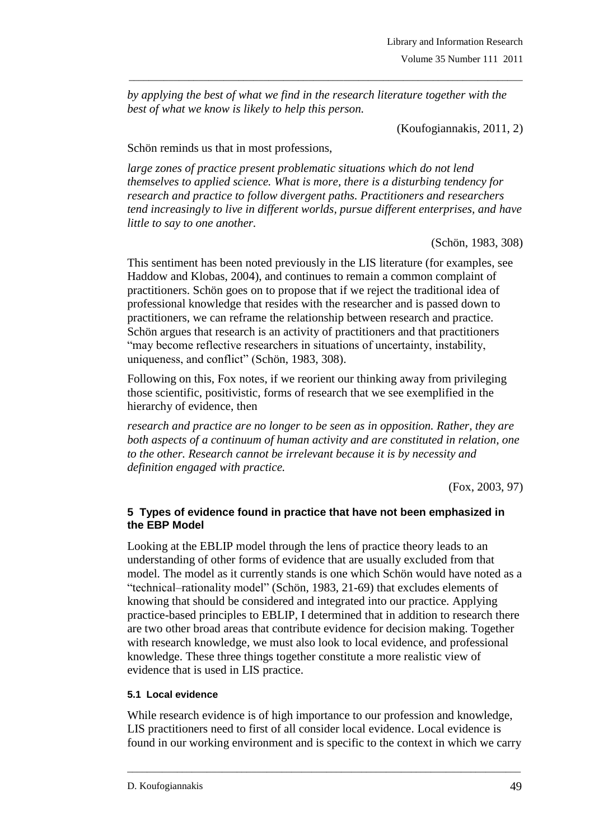*by applying the best of what we find in the research literature together with the best of what we know is likely to help this person.* 

\_\_\_\_\_\_\_\_\_\_\_\_\_\_\_\_\_\_\_\_\_\_\_\_\_\_\_\_\_\_\_\_\_\_\_\_\_\_\_\_\_\_\_\_\_\_\_\_\_\_\_\_\_\_\_\_\_\_\_\_\_\_\_\_\_\_\_\_\_\_\_\_\_\_\_\_\_\_\_

(Koufogiannakis, 2011, 2)

Schön reminds us that in most professions,

*large zones of practice present problematic situations which do not lend themselves to applied science. What is more, there is a disturbing tendency for research and practice to follow divergent paths. Practitioners and researchers tend increasingly to live in different worlds, pursue different enterprises, and have little to say to one another.*

(Schön, 1983, 308)

This sentiment has been noted previously in the LIS literature (for examples, see Haddow and Klobas, 2004), and continues to remain a common complaint of practitioners. Schön goes on to propose that if we reject the traditional idea of professional knowledge that resides with the researcher and is passed down to practitioners, we can reframe the relationship between research and practice. Schön argues that research is an activity of practitioners and that practitioners "may become reflective researchers in situations of uncertainty, instability, uniqueness, and conflict" (Schön, 1983, 308).

Following on this, Fox notes, if we reorient our thinking away from privileging those scientific, positivistic, forms of research that we see exemplified in the hierarchy of evidence, then

*research and practice are no longer to be seen as in opposition. Rather, they are both aspects of a continuum of human activity and are constituted in relation, one to the other. Research cannot be irrelevant because it is by necessity and definition engaged with practice.*

(Fox, 2003, 97)

#### **5 Types of evidence found in practice that have not been emphasized in the EBP Model**

Looking at the EBLIP model through the lens of practice theory leads to an understanding of other forms of evidence that are usually excluded from that model. The model as it currently stands is one which Schön would have noted as a "technical–rationality model" (Schön, 1983, 21-69) that excludes elements of knowing that should be considered and integrated into our practice. Applying practice-based principles to EBLIP, I determined that in addition to research there are two other broad areas that contribute evidence for decision making. Together with research knowledge, we must also look to local evidence, and professional knowledge. These three things together constitute a more realistic view of evidence that is used in LIS practice.

### **5.1 Local evidence**

While research evidence is of high importance to our profession and knowledge, LIS practitioners need to first of all consider local evidence. Local evidence is found in our working environment and is specific to the context in which we carry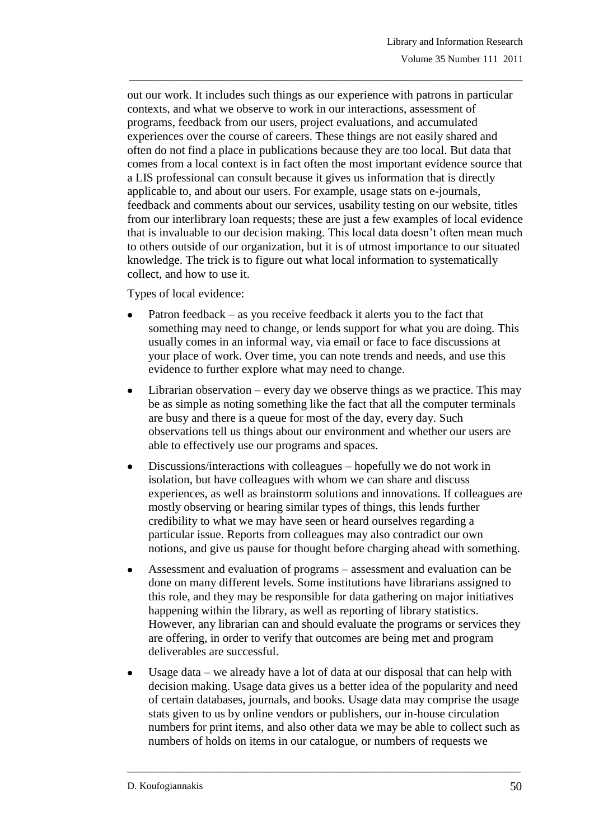out our work. It includes such things as our experience with patrons in particular contexts, and what we observe to work in our interactions, assessment of programs, feedback from our users, project evaluations, and accumulated experiences over the course of careers. These things are not easily shared and often do not find a place in publications because they are too local. But data that comes from a local context is in fact often the most important evidence source that a LIS professional can consult because it gives us information that is directly applicable to, and about our users. For example, usage stats on e-journals, feedback and comments about our services, usability testing on our website, titles from our interlibrary loan requests; these are just a few examples of local evidence that is invaluable to our decision making. This local data doesn"t often mean much to others outside of our organization, but it is of utmost importance to our situated knowledge. The trick is to figure out what local information to systematically collect, and how to use it.

\_\_\_\_\_\_\_\_\_\_\_\_\_\_\_\_\_\_\_\_\_\_\_\_\_\_\_\_\_\_\_\_\_\_\_\_\_\_\_\_\_\_\_\_\_\_\_\_\_\_\_\_\_\_\_\_\_\_\_\_\_\_\_\_\_\_\_\_\_\_\_\_\_\_\_\_\_\_\_

Types of local evidence:

- Patron feedback as you receive feedback it alerts you to the fact that something may need to change, or lends support for what you are doing. This usually comes in an informal way, via email or face to face discussions at your place of work. Over time, you can note trends and needs, and use this evidence to further explore what may need to change.
- Librarian observation every day we observe things as we practice. This may  $\bullet$ be as simple as noting something like the fact that all the computer terminals are busy and there is a queue for most of the day, every day. Such observations tell us things about our environment and whether our users are able to effectively use our programs and spaces.
- Discussions/interactions with colleagues hopefully we do not work in  $\bullet$ isolation, but have colleagues with whom we can share and discuss experiences, as well as brainstorm solutions and innovations. If colleagues are mostly observing or hearing similar types of things, this lends further credibility to what we may have seen or heard ourselves regarding a particular issue. Reports from colleagues may also contradict our own notions, and give us pause for thought before charging ahead with something.
- Assessment and evaluation of programs assessment and evaluation can be done on many different levels. Some institutions have librarians assigned to this role, and they may be responsible for data gathering on major initiatives happening within the library, as well as reporting of library statistics. However, any librarian can and should evaluate the programs or services they are offering, in order to verify that outcomes are being met and program deliverables are successful.
- Usage data we already have a lot of data at our disposal that can help with decision making. Usage data gives us a better idea of the popularity and need of certain databases, journals, and books. Usage data may comprise the usage stats given to us by online vendors or publishers, our in-house circulation numbers for print items, and also other data we may be able to collect such as numbers of holds on items in our catalogue, or numbers of requests we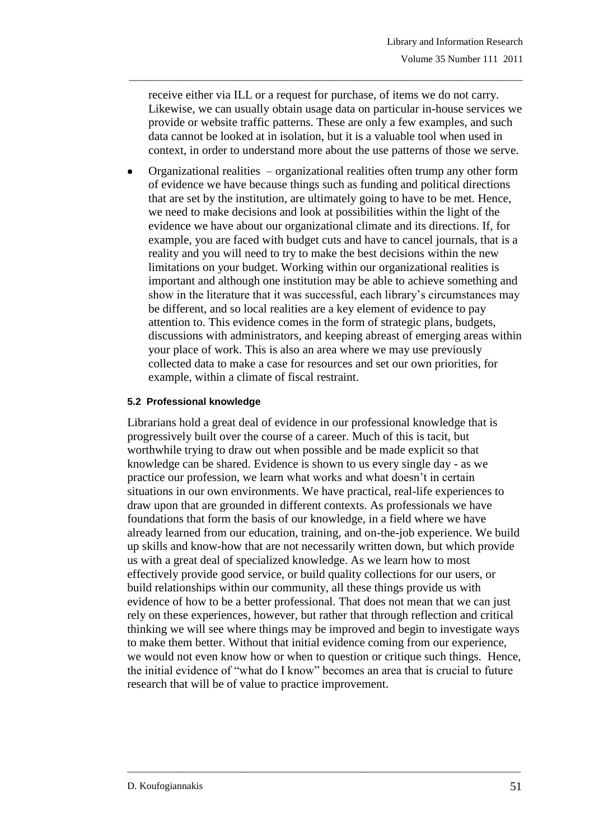receive either via ILL or a request for purchase, of items we do not carry. Likewise, we can usually obtain usage data on particular in-house services we provide or website traffic patterns. These are only a few examples, and such data cannot be looked at in isolation, but it is a valuable tool when used in context, in order to understand more about the use patterns of those we serve.

\_\_\_\_\_\_\_\_\_\_\_\_\_\_\_\_\_\_\_\_\_\_\_\_\_\_\_\_\_\_\_\_\_\_\_\_\_\_\_\_\_\_\_\_\_\_\_\_\_\_\_\_\_\_\_\_\_\_\_\_\_\_\_\_\_\_\_\_\_\_\_\_\_\_\_\_\_\_\_

Organizational realities – organizational realities often trump any other form of evidence we have because things such as funding and political directions that are set by the institution, are ultimately going to have to be met. Hence, we need to make decisions and look at possibilities within the light of the evidence we have about our organizational climate and its directions. If, for example, you are faced with budget cuts and have to cancel journals, that is a reality and you will need to try to make the best decisions within the new limitations on your budget. Working within our organizational realities is important and although one institution may be able to achieve something and show in the literature that it was successful, each library"s circumstances may be different, and so local realities are a key element of evidence to pay attention to. This evidence comes in the form of strategic plans, budgets, discussions with administrators, and keeping abreast of emerging areas within your place of work. This is also an area where we may use previously collected data to make a case for resources and set our own priorities, for example, within a climate of fiscal restraint.

#### **5.2 Professional knowledge**

Librarians hold a great deal of evidence in our professional knowledge that is progressively built over the course of a career. Much of this is tacit, but worthwhile trying to draw out when possible and be made explicit so that knowledge can be shared. Evidence is shown to us every single day - as we practice our profession, we learn what works and what doesn"t in certain situations in our own environments. We have practical, real-life experiences to draw upon that are grounded in different contexts. As professionals we have foundations that form the basis of our knowledge, in a field where we have already learned from our education, training, and on-the-job experience. We build up skills and know-how that are not necessarily written down, but which provide us with a great deal of specialized knowledge. As we learn how to most effectively provide good service, or build quality collections for our users, or build relationships within our community, all these things provide us with evidence of how to be a better professional. That does not mean that we can just rely on these experiences, however, but rather that through reflection and critical thinking we will see where things may be improved and begin to investigate ways to make them better. Without that initial evidence coming from our experience, we would not even know how or when to question or critique such things. Hence, the initial evidence of "what do I know" becomes an area that is crucial to future research that will be of value to practice improvement.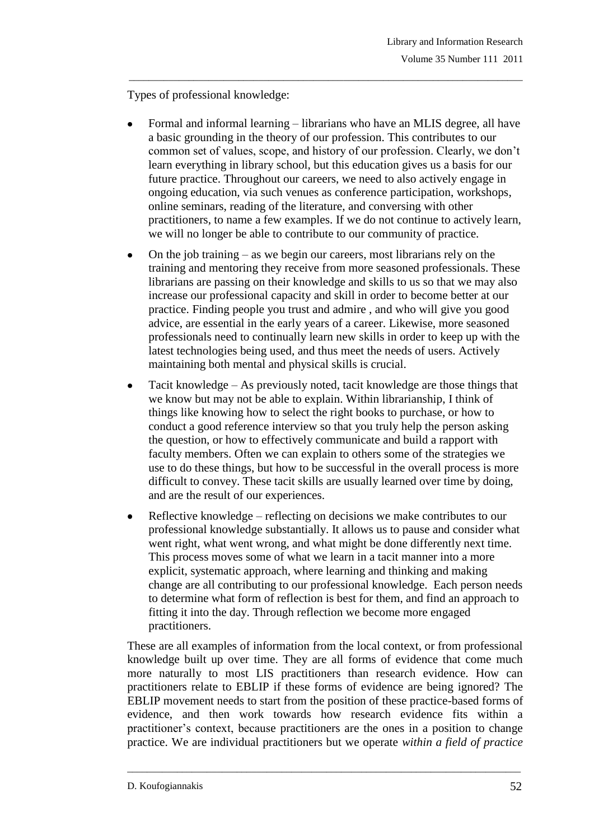Types of professional knowledge:

Formal and informal learning – librarians who have an MLIS degree, all have a basic grounding in the theory of our profession. This contributes to our common set of values, scope, and history of our profession. Clearly, we don"t learn everything in library school, but this education gives us a basis for our future practice. Throughout our careers, we need to also actively engage in ongoing education, via such venues as conference participation, workshops, online seminars, reading of the literature, and conversing with other practitioners, to name a few examples. If we do not continue to actively learn, we will no longer be able to contribute to our community of practice.

\_\_\_\_\_\_\_\_\_\_\_\_\_\_\_\_\_\_\_\_\_\_\_\_\_\_\_\_\_\_\_\_\_\_\_\_\_\_\_\_\_\_\_\_\_\_\_\_\_\_\_\_\_\_\_\_\_\_\_\_\_\_\_\_\_\_\_\_\_\_\_\_\_\_\_\_\_\_\_

- On the job training as we begin our careers, most librarians rely on the  $\bullet$ training and mentoring they receive from more seasoned professionals. These librarians are passing on their knowledge and skills to us so that we may also increase our professional capacity and skill in order to become better at our practice. Finding people you trust and admire , and who will give you good advice, are essential in the early years of a career. Likewise, more seasoned professionals need to continually learn new skills in order to keep up with the latest technologies being used, and thus meet the needs of users. Actively maintaining both mental and physical skills is crucial.
- Tacit knowledge As previously noted, tacit knowledge are those things that we know but may not be able to explain. Within librarianship, I think of things like knowing how to select the right books to purchase, or how to conduct a good reference interview so that you truly help the person asking the question, or how to effectively communicate and build a rapport with faculty members. Often we can explain to others some of the strategies we use to do these things, but how to be successful in the overall process is more difficult to convey. These tacit skills are usually learned over time by doing, and are the result of our experiences.
- Reflective knowledge reflecting on decisions we make contributes to our professional knowledge substantially. It allows us to pause and consider what went right, what went wrong, and what might be done differently next time. This process moves some of what we learn in a tacit manner into a more explicit, systematic approach, where learning and thinking and making change are all contributing to our professional knowledge. Each person needs to determine what form of reflection is best for them, and find an approach to fitting it into the day. Through reflection we become more engaged practitioners.

These are all examples of information from the local context, or from professional knowledge built up over time. They are all forms of evidence that come much more naturally to most LIS practitioners than research evidence. How can practitioners relate to EBLIP if these forms of evidence are being ignored? The EBLIP movement needs to start from the position of these practice-based forms of evidence, and then work towards how research evidence fits within a practitioner"s context, because practitioners are the ones in a position to change practice. We are individual practitioners but we operate *within a field of practice*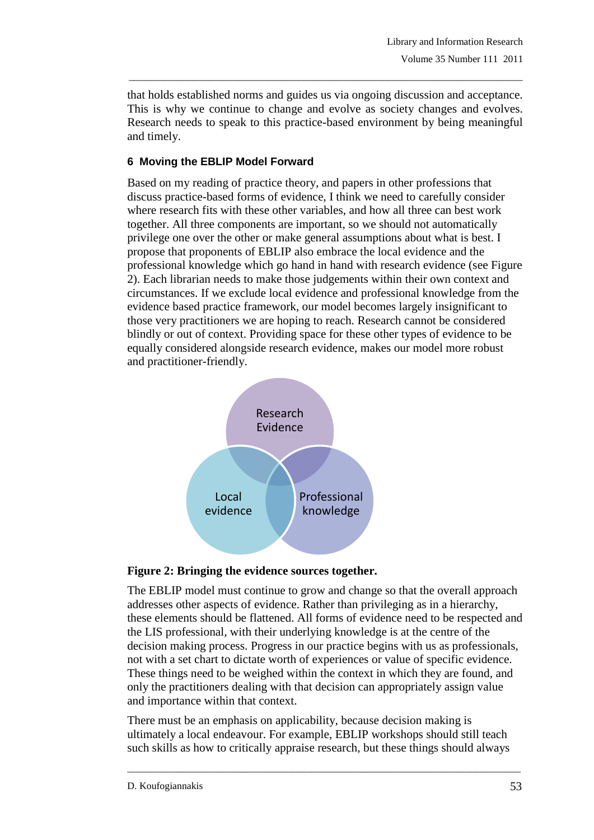that holds established norms and guides us via ongoing discussion and acceptance. This is why we continue to change and evolve as society changes and evolves. Research needs to speak to this practice-based environment by being meaningful and timely.

\_\_\_\_\_\_\_\_\_\_\_\_\_\_\_\_\_\_\_\_\_\_\_\_\_\_\_\_\_\_\_\_\_\_\_\_\_\_\_\_\_\_\_\_\_\_\_\_\_\_\_\_\_\_\_\_\_\_\_\_\_\_\_\_\_\_\_\_\_\_\_\_\_\_\_\_\_\_\_

## **6 Moving the EBLIP Model Forward**

Based on my reading of practice theory, and papers in other professions that discuss practice-based forms of evidence, I think we need to carefully consider where research fits with these other variables, and how all three can best work together. All three components are important, so we should not automatically privilege one over the other or make general assumptions about what is best. I propose that proponents of EBLIP also embrace the local evidence and the professional knowledge which go hand in hand with research evidence (see Figure 2). Each librarian needs to make those judgements within their own context and circumstances. If we exclude local evidence and professional knowledge from the evidence based practice framework, our model becomes largely insignificant to those very practitioners we are hoping to reach. Research cannot be considered blindly or out of context. Providing space for these other types of evidence to be equally considered alongside research evidence, makes our model more robust and practitioner-friendly.





The EBLIP model must continue to grow and change so that the overall approach addresses other aspects of evidence. Rather than privileging as in a hierarchy, these elements should be flattened. All forms of evidence need to be respected and the LIS professional, with their underlying knowledge is at the centre of the decision making process. Progress in our practice begins with us as professionals, not with a set chart to dictate worth of experiences or value of specific evidence. These things need to be weighed within the context in which they are found, and only the practitioners dealing with that decision can appropriately assign value and importance within that context.

There must be an emphasis on applicability, because decision making is ultimately a local endeavour. For example, EBLIP workshops should still teach such skills as how to critically appraise research, but these things should always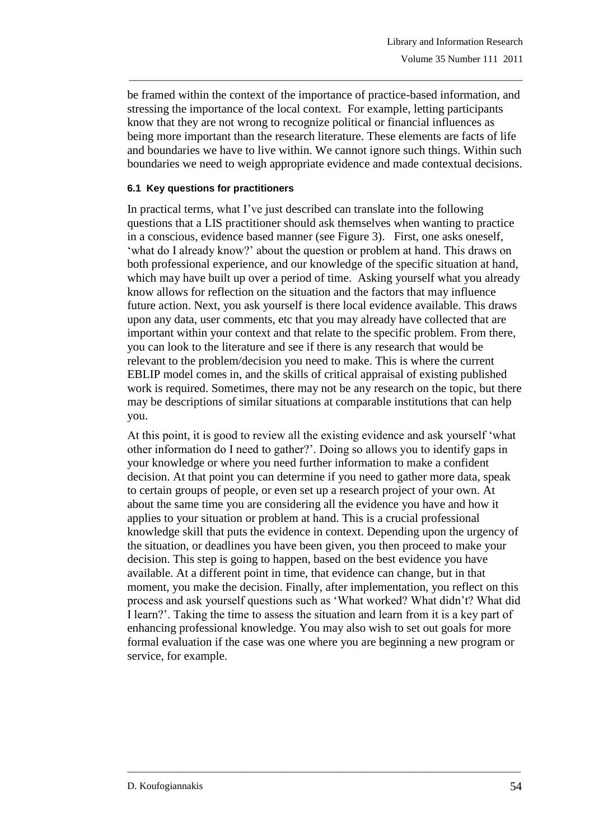be framed within the context of the importance of practice-based information, and stressing the importance of the local context. For example, letting participants know that they are not wrong to recognize political or financial influences as being more important than the research literature. These elements are facts of life and boundaries we have to live within. We cannot ignore such things. Within such boundaries we need to weigh appropriate evidence and made contextual decisions.

\_\_\_\_\_\_\_\_\_\_\_\_\_\_\_\_\_\_\_\_\_\_\_\_\_\_\_\_\_\_\_\_\_\_\_\_\_\_\_\_\_\_\_\_\_\_\_\_\_\_\_\_\_\_\_\_\_\_\_\_\_\_\_\_\_\_\_\_\_\_\_\_\_\_\_\_\_\_\_

#### **6.1 Key questions for practitioners**

In practical terms, what I"ve just described can translate into the following questions that a LIS practitioner should ask themselves when wanting to practice in a conscious, evidence based manner (see Figure 3). First, one asks oneself, 'what do I already know?' about the question or problem at hand. This draws on both professional experience, and our knowledge of the specific situation at hand, which may have built up over a period of time. Asking yourself what you already know allows for reflection on the situation and the factors that may influence future action. Next, you ask yourself is there local evidence available. This draws upon any data, user comments, etc that you may already have collected that are important within your context and that relate to the specific problem. From there, you can look to the literature and see if there is any research that would be relevant to the problem/decision you need to make. This is where the current EBLIP model comes in, and the skills of critical appraisal of existing published work is required. Sometimes, there may not be any research on the topic, but there may be descriptions of similar situations at comparable institutions that can help you.

At this point, it is good to review all the existing evidence and ask yourself "what other information do I need to gather?". Doing so allows you to identify gaps in your knowledge or where you need further information to make a confident decision. At that point you can determine if you need to gather more data, speak to certain groups of people, or even set up a research project of your own. At about the same time you are considering all the evidence you have and how it applies to your situation or problem at hand. This is a crucial professional knowledge skill that puts the evidence in context. Depending upon the urgency of the situation, or deadlines you have been given, you then proceed to make your decision. This step is going to happen, based on the best evidence you have available. At a different point in time, that evidence can change, but in that moment, you make the decision. Finally, after implementation, you reflect on this process and ask yourself questions such as "What worked? What didn"t? What did I learn?". Taking the time to assess the situation and learn from it is a key part of enhancing professional knowledge. You may also wish to set out goals for more formal evaluation if the case was one where you are beginning a new program or service, for example.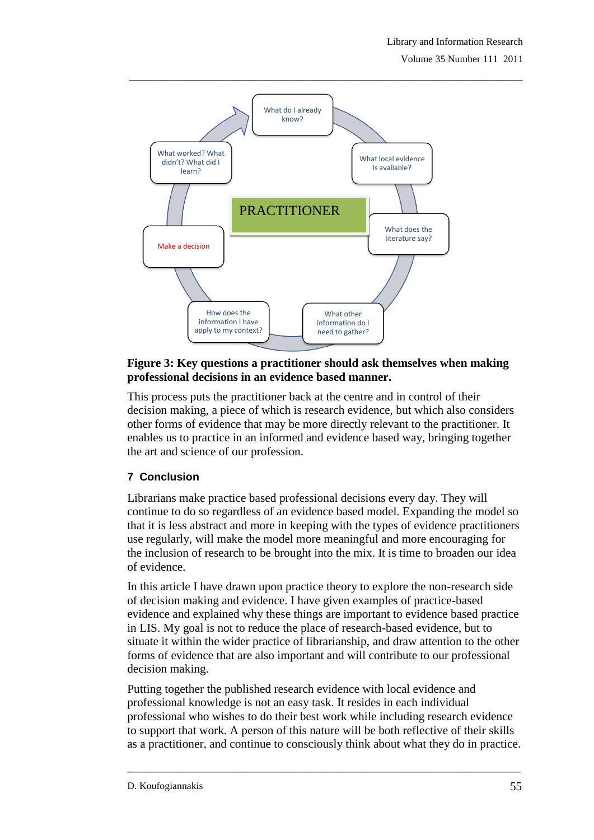Volume 35 Number 111 2011



### **Figure 3: Key questions a practitioner should ask themselves when making professional decisions in an evidence based manner.**

This process puts the practitioner back at the centre and in control of their decision making, a piece of which is research evidence, but which also considers other forms of evidence that may be more directly relevant to the practitioner. It enables us to practice in an informed and evidence based way, bringing together the art and science of our profession.

## **7 Conclusion**

Librarians make practice based professional decisions every day. They will continue to do so regardless of an evidence based model. Expanding the model so that it is less abstract and more in keeping with the types of evidence practitioners use regularly, will make the model more meaningful and more encouraging for the inclusion of research to be brought into the mix. It is time to broaden our idea of evidence.

In this article I have drawn upon practice theory to explore the non-research side of decision making and evidence. I have given examples of practice-based evidence and explained why these things are important to evidence based practice in LIS. My goal is not to reduce the place of research-based evidence, but to situate it within the wider practice of librarianship, and draw attention to the other forms of evidence that are also important and will contribute to our professional decision making.

Putting together the published research evidence with local evidence and professional knowledge is not an easy task. It resides in each individual professional who wishes to do their best work while including research evidence to support that work. A person of this nature will be both reflective of their skills as a practitioner, and continue to consciously think about what they do in practice.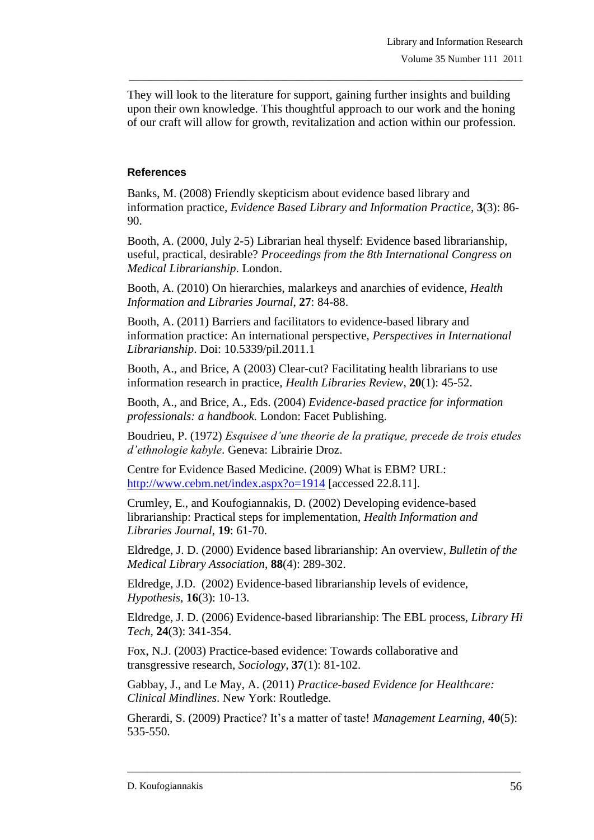They will look to the literature for support, gaining further insights and building upon their own knowledge. This thoughtful approach to our work and the honing of our craft will allow for growth, revitalization and action within our profession.

\_\_\_\_\_\_\_\_\_\_\_\_\_\_\_\_\_\_\_\_\_\_\_\_\_\_\_\_\_\_\_\_\_\_\_\_\_\_\_\_\_\_\_\_\_\_\_\_\_\_\_\_\_\_\_\_\_\_\_\_\_\_\_\_\_\_\_\_\_\_\_\_\_\_\_\_\_\_\_

### **References**

Banks, M. (2008) Friendly skepticism about evidence based library and information practice, *Evidence Based Library and Information Practice*, **3**(3): 86- 90.

Booth, A. (2000, July 2-5) Librarian heal thyself: Evidence based librarianship, useful, practical, desirable? *Proceedings from the 8th International Congress on Medical Librarianship*. London.

Booth, A. (2010) On hierarchies, malarkeys and anarchies of evidence, *Health Information and Libraries Journal*, **27**: 84-88.

Booth, A. (2011) Barriers and facilitators to evidence-based library and information practice: An international perspective, *Perspectives in International Librarianship*. Doi: 10.5339/pil.2011.1

Booth, A., and Brice, A (2003) Clear-cut? Facilitating health librarians to use information research in practice, *Health Libraries Review*, **20**(1): 45-52.

Booth, A., and Brice, A., Eds. (2004) *Evidence-based practice for information professionals: a handbook.* London: Facet Publishing.

Boudrieu, P. (1972) *Esquisee d'une theorie de la pratique, precede de trois etudes d'ethnologie kabyle*. Geneva: Librairie Droz.

Centre for Evidence Based Medicine. (2009) What is EBM? URL: <http://www.cebm.net/index.aspx?o=1914> [accessed 22.8.11].

Crumley, E., and Koufogiannakis, D. (2002) Developing evidence-based librarianship: Practical steps for implementation, *Health Information and Libraries Journal*, **19**: 61-70.

Eldredge, J. D. (2000) Evidence based librarianship: An overview, *Bulletin of the Medical Library Association*, **88**(4): 289-302.

Eldredge, J.D. (2002) Evidence-based librarianship levels of evidence, *Hypothesis*, **16**(3): 10-13.

Eldredge, J. D. (2006) Evidence-based librarianship: The EBL process, *Library Hi Tech*, **24**(3): 341-354.

Fox, N.J. (2003) Practice-based evidence: Towards collaborative and transgressive research, *Sociology*, **37**(1): 81-102.

Gabbay, J., and Le May, A. (2011) *Practice-based Evidence for Healthcare: Clinical Mindlines*. New York: Routledge.

Gherardi, S. (2009) Practice? It's a matter of taste! *Management Learning*, 40(5): 535-550.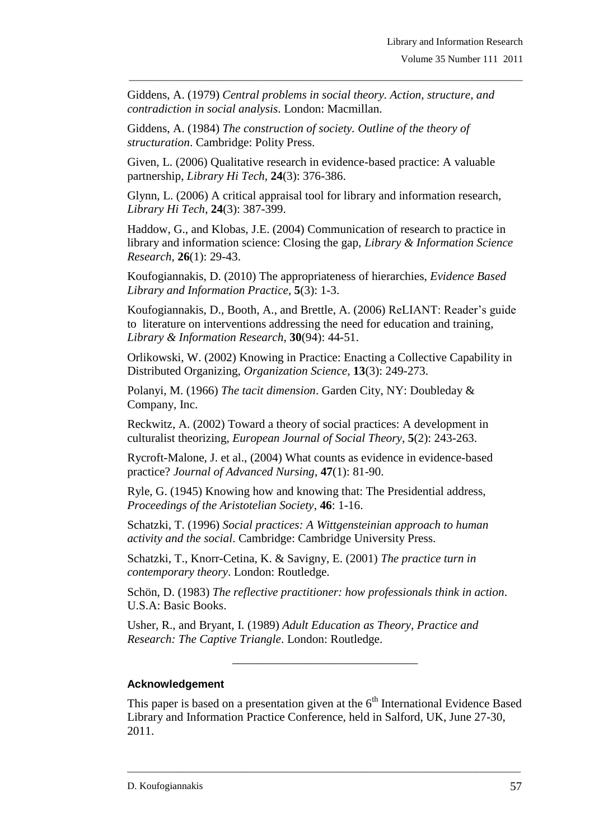Giddens, A. (1979) *Central problems in social theory. Action, structure, and contradiction in social analysis*. London: Macmillan.

\_\_\_\_\_\_\_\_\_\_\_\_\_\_\_\_\_\_\_\_\_\_\_\_\_\_\_\_\_\_\_\_\_\_\_\_\_\_\_\_\_\_\_\_\_\_\_\_\_\_\_\_\_\_\_\_\_\_\_\_\_\_\_\_\_\_\_\_\_\_\_\_\_\_\_\_\_\_\_

Giddens, A. (1984) *The construction of society. Outline of the theory of structuration*. Cambridge: Polity Press.

Given, L. (2006) Qualitative research in evidence-based practice: A valuable partnership, *Library Hi Tech*, **24**(3): 376-386.

Glynn, L. (2006) A critical appraisal tool for library and information research, *Library Hi Tech*, **24**(3): 387-399.

Haddow, G., and Klobas, J.E. (2004) Communication of research to practice in library and information science: Closing the gap, *Library & Information Science Research*, **26**(1): 29-43.

Koufogiannakis, D. (2010) The appropriateness of hierarchies, *Evidence Based Library and Information Practice*, **5**(3): 1-3.

Koufogiannakis, D., Booth, A., and Brettle, A. (2006) ReLIANT: Reader"s guide to literature on interventions addressing the need for education and training, *Library & Information Research*, **30**(94): 44-51.

Orlikowski, W. (2002) Knowing in Practice: Enacting a Collective Capability in Distributed Organizing, *Organization Science*, **13**(3): 249-273.

Polanyi, M. (1966) *The tacit dimension*. Garden City, NY: Doubleday & Company, Inc.

Reckwitz, A. (2002) Toward a theory of social practices: A development in culturalist theorizing, *European Journal of Social Theory*, **5**(2): 243-263.

Rycroft-Malone, J. et al., (2004) What counts as evidence in evidence-based practice? *Journal of Advanced Nursing*, **47**(1): 81-90.

Ryle, G. (1945) Knowing how and knowing that: The Presidential address, *Proceedings of the Aristotelian Society*, **46**: 1-16.

Schatzki, T. (1996) *Social practices: A Wittgensteinian approach to human activity and the social*. Cambridge: Cambridge University Press.

Schatzki, T., Knorr-Cetina, K. & Savigny, E. (2001) *The practice turn in contemporary theory*. London: Routledge.

Schön, D. (1983) *The reflective practitioner: how professionals think in action*. U.S.A: Basic Books.

Usher, R., and Bryant, I. (1989) *Adult Education as Theory, Practice and Research: The Captive Triangle*. London: Routledge.

## **Acknowledgement**

This paper is based on a presentation given at the  $6<sup>th</sup>$  International Evidence Based Library and Information Practice Conference, held in Salford, UK, June 27-30, 2011.

\_\_\_\_\_\_\_\_\_\_\_\_\_\_\_\_\_\_\_\_\_\_\_\_\_\_\_\_\_\_\_